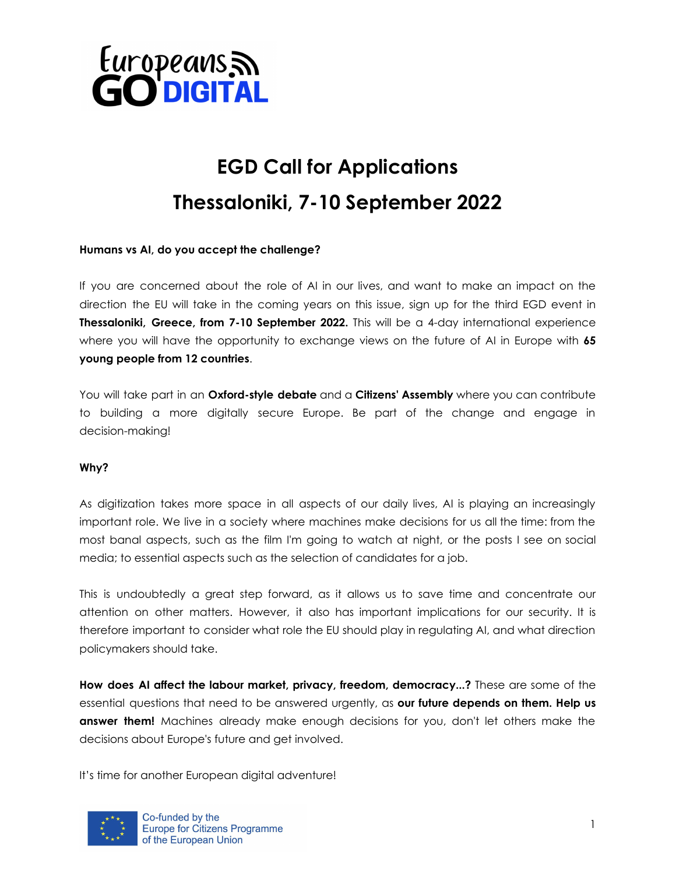

# **EGD Call for Applications Thessaloniki, 7-10 September 2022**

## **Humans vs AI, do you accept the challenge?**

If you are concerned about the role of AI in our lives, and want to make an impact on the direction the EU will take in the coming years on this issue, sign up for the third EGD event in **Thessaloniki, Greece, from 7-10 September 2022.** This will be a 4-day international experience where you will have the opportunity to exchange views on the future of AI in Europe with **65 young people from 12 countries**.

You will take part in an **Oxford-style debate** and a **Citizens' Assembly** where you can contribute to building a more digitally secure Europe. Be part of the change and engage in decision-making!

#### **Why?**

As digitization takes more space in all aspects of our daily lives, AI is playing an increasingly important role. We live in a society where machines make decisions for us all the time: from the most banal aspects, such as the film I'm going to watch at night, or the posts I see on social media; to essential aspects such as the selection of candidates for a job.

This is undoubtedly a great step forward, as it allows us to save time and concentrate our attention on other matters. However, it also has important implications for our security. It is therefore important to consider what role the EU should play in regulating AI, and what direction policymakers should take.

**How does AI affect the labour market, privacy, freedom, democracy...?** These are some of the essential questions that need to be answered urgently, as **our future depends on them. Help us answer them!** Machines already make enough decisions for you, don't let others make the decisions about Europe's future and get involved.

It's time for another European digital adventure!

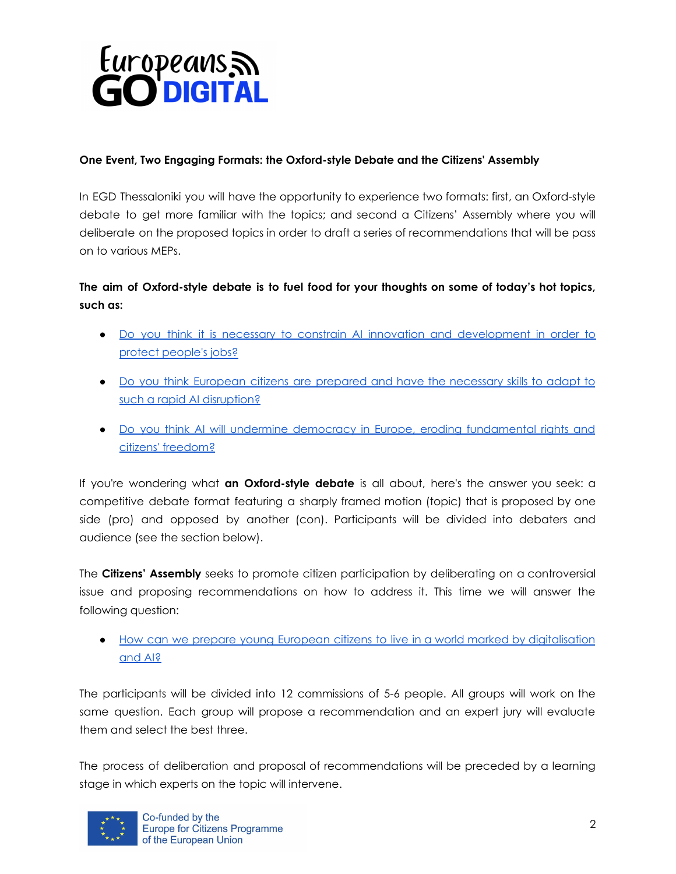

## **One Event, Two Engaging Formats: the Oxford-style Debate and the Citizens' Assembly**

In EGD Thessaloniki you will have the opportunity to experience two formats: first, an Oxford-style debate to get more familiar with the topics; and second a Citizens' Assembly where you will deliberate on the proposed topics in order to draft a series of recommendations that will be pass on to various MEPs.

# **The aim of Oxford-style debate is to fuel food for your thoughts on some of today's hot topics, such as:**

- Do you think it is necessary to constrain AI innovation and [development](https://www.europarl.europa.eu/cmsdata/237745/Working%20Paper%20on%20AI%20and%20the%20Labour%20Market.pdf) in order to protect [people's](https://www.europarl.europa.eu/cmsdata/237745/Working%20Paper%20on%20AI%20and%20the%20Labour%20Market.pdf) jobs?
- Do you think European citizens are prepared and have the [necessary](https://www.europarl.europa.eu/cmsdata/237745/Working%20Paper%20on%20AI%20and%20the%20Labour%20Market.pdf) skills to adapt to such a rapid AI [disruption?](https://www.europarl.europa.eu/cmsdata/237745/Working%20Paper%20on%20AI%20and%20the%20Labour%20Market.pdf)
- Do you think AI will undermine democracy in Europe, eroding [fundamental](https://www.europarl.europa.eu/cmsdata/237000/Working%20Paper%20on%20AI%20and%20the%20Future%20of%20Democracy.pdf) rights and citizens' [freedom?](https://www.europarl.europa.eu/cmsdata/237000/Working%20Paper%20on%20AI%20and%20the%20Future%20of%20Democracy.pdf)

If you're wondering what **an Oxford-style debate** is all about, here's the answer you seek: a competitive debate format featuring a sharply framed motion (topic) that is proposed by one side (pro) and opposed by another (con). Participants will be divided into debaters and audience (see the section below).

The **Citizens' Assembly** seeks to promote citizen participation by deliberating on a controversial issue and proposing recommendations on how to address it. This time we will answer the following question:

● How can we prepare young European citizens to live in a world marked by [digitalisation](https://ec.europa.eu/info/strategy/priorities-2019-2024/europe-fit-digital-age_en) [and](https://ec.europa.eu/info/strategy/priorities-2019-2024/europe-fit-digital-age_en) AI?

The participants will be divided into 12 commissions of 5-6 people. All groups will work on the same question. Each group will propose a recommendation and an expert jury will evaluate them and select the best three.

The process of deliberation and proposal of recommendations will be preceded by a learning stage in which experts on the topic will intervene.

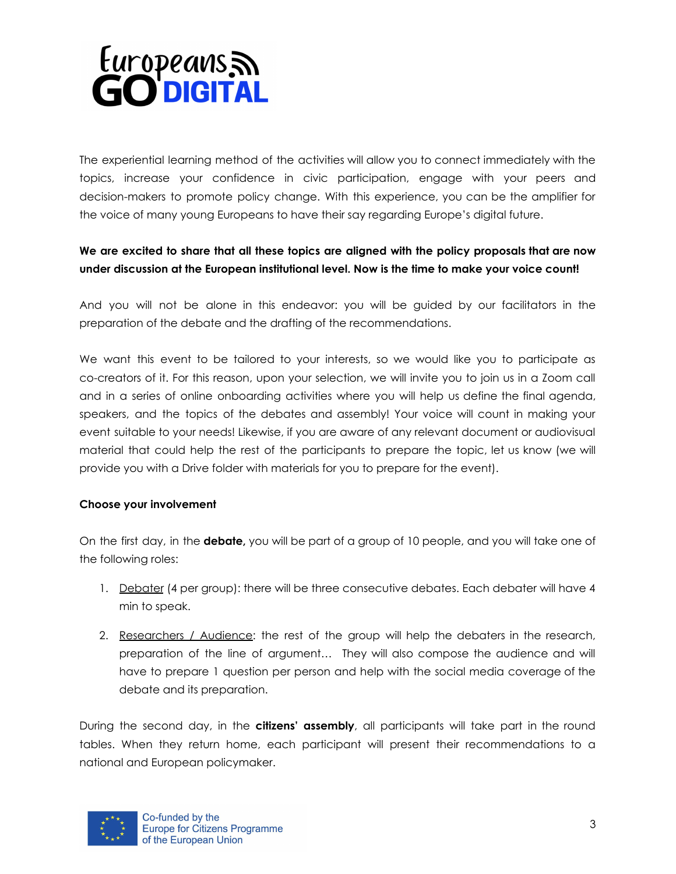

The experiential learning method of the activities will allow you to connect immediately with the topics, increase your confidence in civic participation, engage with your peers and decision-makers to promote policy change. With this experience, you can be the amplifier for the voice of many young Europeans to have their say regarding Europe's digital future.

# **We are excited to share that all these topics are aligned with the policy proposals that are now under discussion at the European institutional level. Now is the time to make your voice count!**

And you will not be alone in this endeavor: you will be guided by our facilitators in the preparation of the debate and the drafting of the recommendations.

We want this event to be tailored to your interests, so we would like you to participate as co-creators of it. For this reason, upon your selection, we will invite you to join us in a Zoom call and in a series of online onboarding activities where you will help us define the final agenda, speakers, and the topics of the debates and assembly! Your voice will count in making your event suitable to your needs! Likewise, if you are aware of any relevant document or audiovisual material that could help the rest of the participants to prepare the topic, let us know (we will provide you with a Drive folder with materials for you to prepare for the event).

## **Choose your involvement**

On the first day, in the **debate,** you will be part of a group of 10 people, and you will take one of the following roles:

- 1. Debater (4 per group): there will be three consecutive debates. Each debater will have 4 min to speak.
- 2. Researchers / Audience: the rest of the group will help the debaters in the research, preparation of the line of argument… They will also compose the audience and will have to prepare 1 question per person and help with the social media coverage of the debate and its preparation.

During the second day, in the **citizens' assembly**, all participants will take part in the round tables. When they return home, each participant will present their recommendations to a national and European policymaker.

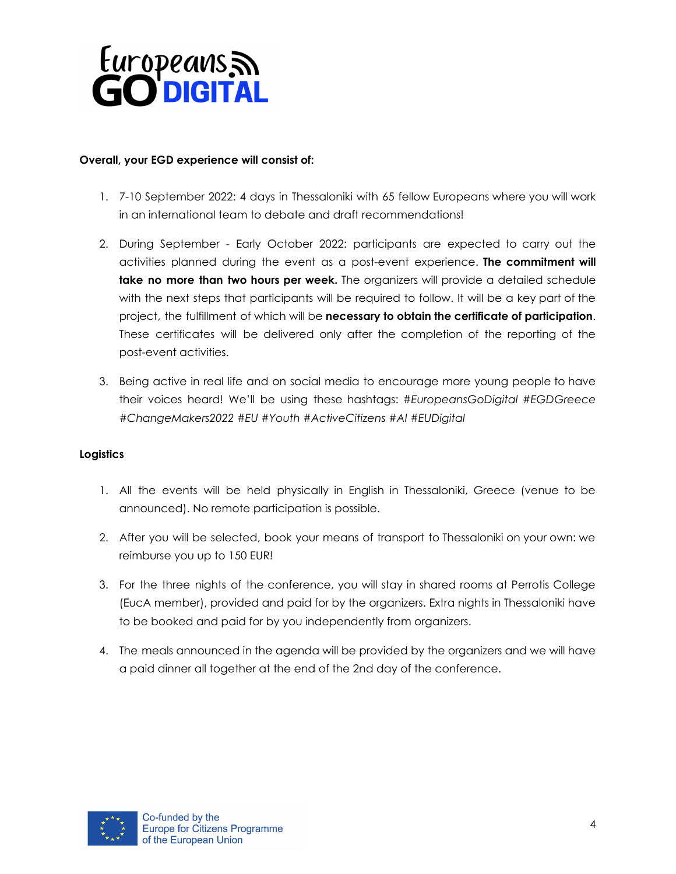

#### **Overall, your EGD experience will consist of:**

- 1. 7-10 September 2022: 4 days in Thessaloniki with 65 fellow Europeans where you will work in an international team to debate and draft recommendations!
- 2. During September Early October 2022: participants are expected to carry out the activities planned during the event as a post-event experience. **The commitment will take no more than two hours per week.** The organizers will provide a detailed schedule with the next steps that participants will be required to follow. It will be a key part of the project, the fulfillment of which will be **necessary to obtain the certificate of participation**. These certificates will be delivered only after the completion of the reporting of the post-event activities.
- 3. Being active in real life and on social media to encourage more young people to have their voices heard! We'll be using these hashtags: *#EuropeansGoDigital #EGDGreece #ChangeMakers2022 #EU #Youth #ActiveCitizens #AI #EUDigital*

## **Logistics**

- 1. All the events will be held physically in English in Thessaloniki, Greece (venue to be announced). No remote participation is possible.
- 2. After you will be selected, book your means of transport to Thessaloniki on your own: we reimburse you up to 150 EUR!
- 3. For the three nights of the conference, you will stay in shared rooms at Perrotis College (EucA member), provided and paid for by the organizers. Extra nights in Thessaloniki have to be booked and paid for by you independently from organizers.
- 4. The meals announced in the agenda will be provided by the organizers and we will have a paid dinner all together at the end of the 2nd day of the conference.

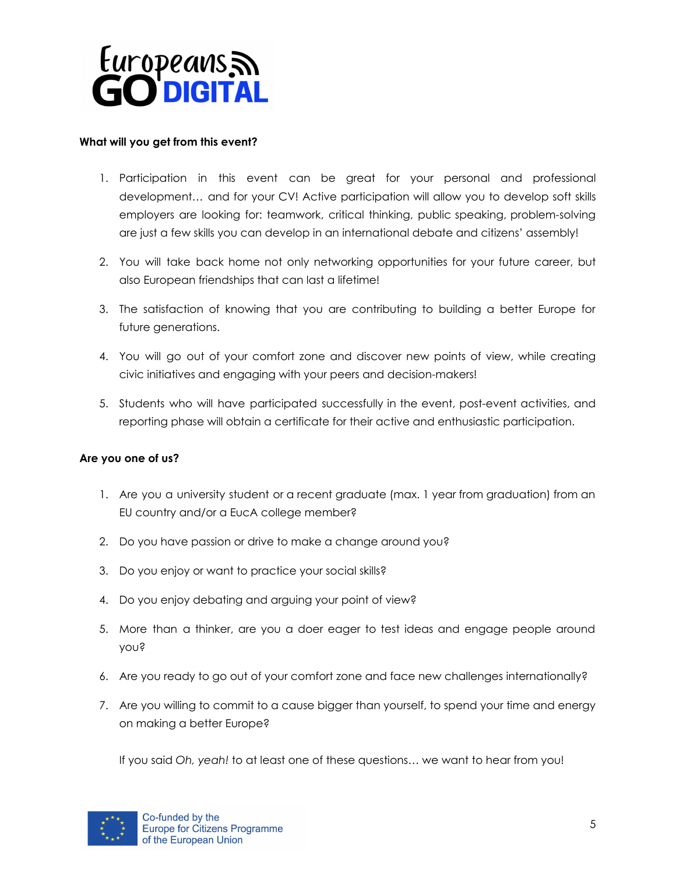

#### **What will you get from this event?**

- 1. Participation in this event can be great for your personal and professional development… and for your CV! Active participation will allow you to develop soft skills employers are looking for: teamwork, critical thinking, public speaking, problem-solving are just a few skills you can develop in an international debate and citizens' assembly!
- 2. You will take back home not only networking opportunities for your future career, but also European friendships that can last a lifetime!
- 3. The satisfaction of knowing that you are contributing to building a better Europe for future generations.
- 4. You will go out of your comfort zone and discover new points of view, while creating civic initiatives and engaging with your peers and decision-makers!
- 5. Students who will have participated successfully in the event, post-event activities, and reporting phase will obtain a certificate for their active and enthusiastic participation.

## **Are you one of us?**

- 1. Are you a university student or a recent graduate (max. 1 year from graduation) from an EU country and/or a EucA college member?
- 2. Do you have passion or drive to make a change around you?
- 3. Do you enjoy or want to practice your social skills?
- 4. Do you enjoy debating and arguing your point of view?
- 5. More than a thinker, are you a doer eager to test ideas and engage people around you?
- 6. Are you ready to go out of your comfort zone and face new challenges internationally?
- 7. Are you willing to commit to a cause bigger than yourself, to spend your time and energy on making a better Europe?

If you said *Oh, yeah!* to at least one of these questions… we want to hear from you!

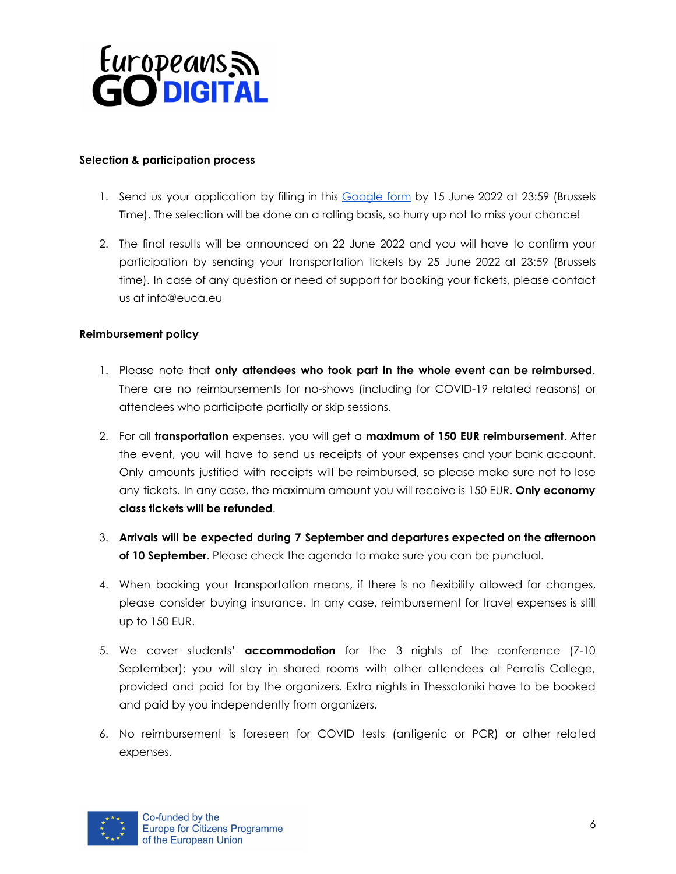

#### **Selection & participation process**

- 1. Send us your application by filling in this [Google](https://forms.gle/SpustfFs79edmsi79) form by 15 June 2022 at 23:59 (Brussels Time). The selection will be done on a rolling basis, so hurry up not to miss your chance!
- 2. The final results will be announced on 22 June 2022 and you will have to confirm your participation by sending your transportation tickets by 25 June 2022 at 23:59 (Brussels time). In case of any question or need of support for booking your tickets, please contact us at info@euca.eu

#### **Reimbursement policy**

- 1. Please note that **only attendees who took part in the whole event can be reimbursed**. There are no reimbursements for no-shows (including for COVID-19 related reasons) or attendees who participate partially or skip sessions.
- 2. For all **transportation** expenses, you will get a **maximum of 150 EUR reimbursement**. After the event, you will have to send us receipts of your expenses and your bank account. Only amounts justified with receipts will be reimbursed, so please make sure not to lose any tickets. In any case, the maximum amount you will receive is 150 EUR. **Only economy class tickets will be refunded**.
- 3. **Arrivals will be expected during 7 September and departures expected on the afternoon of 10 September**. Please check the agenda to make sure you can be punctual.
- 4. When booking your transportation means, if there is no flexibility allowed for changes, please consider buying insurance. In any case, reimbursement for travel expenses is still up to 150 EUR.
- 5. We cover students' **accommodation** for the 3 nights of the conference (7-10 September): you will stay in shared rooms with other attendees at Perrotis College, provided and paid for by the organizers. Extra nights in Thessaloniki have to be booked and paid by you independently from organizers.
- 6. No reimbursement is foreseen for COVID tests (antigenic or PCR) or other related expenses.